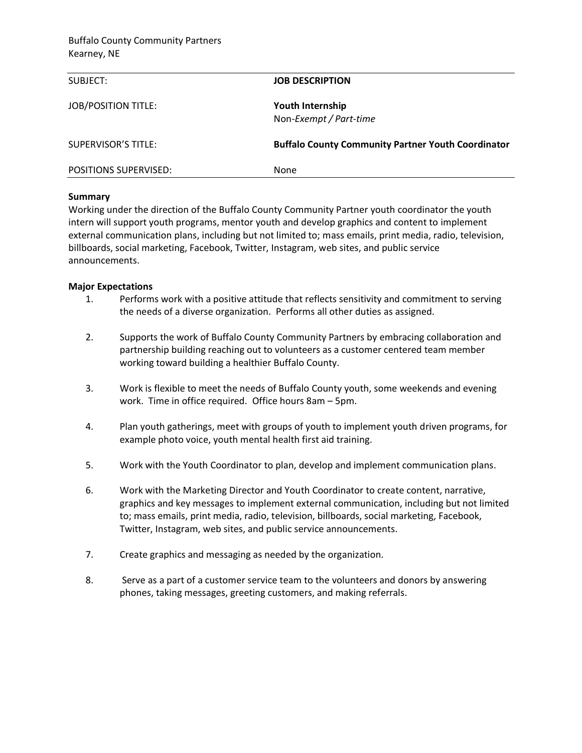| SUBJECT:                     | <b>JOB DESCRIPTION</b>                                    |
|------------------------------|-----------------------------------------------------------|
| <b>JOB/POSITION TITLE:</b>   | Youth Internship<br>Non-Exempt / Part-time                |
| <b>SUPERVISOR'S TITLE:</b>   | <b>Buffalo County Community Partner Youth Coordinator</b> |
| <b>POSITIONS SUPERVISED:</b> | None                                                      |

## **Summary**

Working under the direction of the Buffalo County Community Partner youth coordinator the youth intern will support youth programs, mentor youth and develop graphics and content to implement external communication plans, including but not limited to; mass emails, print media, radio, television, billboards, social marketing, Facebook, Twitter, Instagram, web sites, and public service announcements.

## **Major Expectations**

- 1. Performs work with a positive attitude that reflects sensitivity and commitment to serving the needs of a diverse organization. Performs all other duties as assigned.
- 2. Supports the work of Buffalo County Community Partners by embracing collaboration and partnership building reaching out to volunteers as a customer centered team member working toward building a healthier Buffalo County.
- 3. Work is flexible to meet the needs of Buffalo County youth, some weekends and evening work. Time in office required. Office hours 8am – 5pm.
- 4. Plan youth gatherings, meet with groups of youth to implement youth driven programs, for example photo voice, youth mental health first aid training.
- 5. Work with the Youth Coordinator to plan, develop and implement communication plans.
- 6. Work with the Marketing Director and Youth Coordinator to create content, narrative, graphics and key messages to implement external communication, including but not limited to; mass emails, print media, radio, television, billboards, social marketing, Facebook, Twitter, Instagram, web sites, and public service announcements.
- 7. Create graphics and messaging as needed by the organization.
- 8. Serve as a part of a customer service team to the volunteers and donors by answering phones, taking messages, greeting customers, and making referrals.